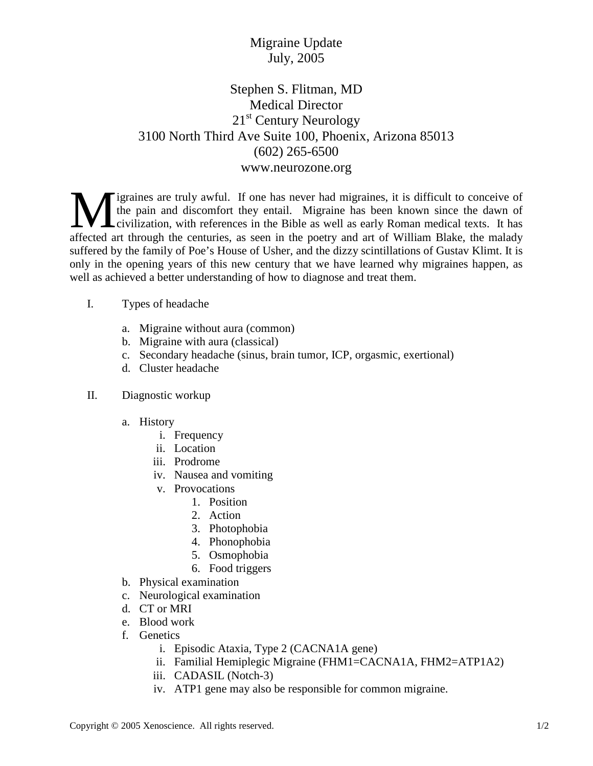## Migraine Update July, 2005

## Stephen S. Flitman, MD Medical Director 21<sup>st</sup> Century Neurology 3100 North Third Ave Suite 100, Phoenix, Arizona 85013 (602) 265-6500 www.neurozone.org

igraines are truly awful. If one has never had migraines, it is difficult to conceive of the pain and discomfort they entail. Migraine has been known since the dawn of civilization, with references in the Bible as well as early Roman medical texts. It has **A** figraines are truly awful. If one has never had migraines, it is difficult to conceive of the pain and discomfort they entail. Migraine has been known since the dawn of civilization, with references in the Bible as wel suffered by the family of Poe's House of Usher, and the dizzy scintillations of Gustav Klimt. It is only in the opening years of this new century that we have learned why migraines happen, as well as achieved a better understanding of how to diagnose and treat them.

- I. Types of headache
	- a. Migraine without aura (common)
	- b. Migraine with aura (classical)
	- c. Secondary headache (sinus, brain tumor, ICP, orgasmic, exertional)
	- d. Cluster headache
- II. Diagnostic workup
	- a. History
		- i. Frequency
		- ii. Location
		- iii. Prodrome
		- iv. Nausea and vomiting
		- v. Provocations
			- 1. Position
			- 2. Action
			- 3. Photophobia
			- 4. Phonophobia
			- 5. Osmophobia
			- 6. Food triggers
	- b. Physical examination
	- c. Neurological examination
	- d. CT or MRI
	- e. Blood work
	- f. Genetics
		- i. Episodic Ataxia, Type 2 (CACNA1A gene)
		- ii. Familial Hemiplegic Migraine (FHM1=CACNA1A, FHM2=ATP1A2)
		- iii. CADASIL (Notch-3)
		- iv. ATP1 gene may also be responsible for common migraine.